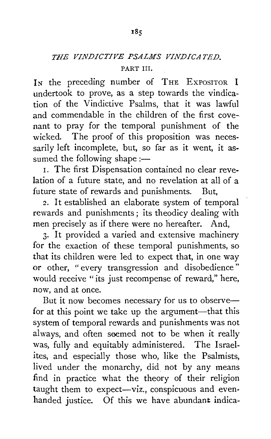## **THE VINDICTIVE PSALMS VINDICATED.** PART III.

In the preceding number of THE EXPOSITOR I undertook to prove, as a step towards the vindication of the Vindictive Psalms, that it was lawful and commendable in the children of the first covenant to pray for the temporal punishment of the wicked. The proof of this proposition was necessarily left incomplete, but, so far as it went, it assumed the following shape :-

I. The first Dispensation contained no clear revelation of a future state, and no revelation at all of a future state of rewards and punishments. But,

2. It established an elaborate system of temporal rewards and punishments ; its theodicy dealing with men precisely as if there were no hereafter. And,

3· It provided a varied and extensive machinery for the exaction of these temporal punishments, so that its children were led to expect that, in one way or other, " every transgression and disobedience" would receive "its just recompense of reward," here, now, and at once.

But it now becomes necessary for us to observefor at this point we take up the argument-that this system of temporal rewards and punishments was not always, and often seemed not to be when it really was, fully and equitably administered. The Israelites, and especially those who, like the Psalmists, lived under the monarchy, did not by any means find in practice what the theory of their religion taught them to expect-viz., conspicuous and evenhanded justice. Of this we have abundant indica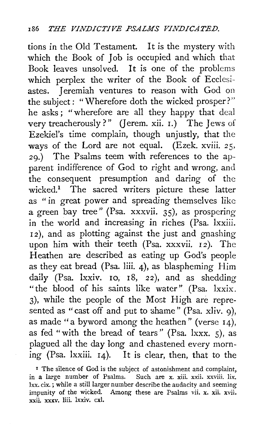tions in the Old Testament. It is the mystery with which the Book of Job is occupied and which that Book leaves unsolved. It is one of the problems which perplex the writer of the Book of Ecclesiastes. Jeremiah ventures to reason with God on the subject: "Wherefore doth the wicked prosper?" he asks; "wherefore are all they happy that deal very treacherously?" (Jerem. xii.  $I$ .) The Jews of Ezekiel's time complain, though unjustly, that the ways of the Lord are not equal. (Ezek. xviii. 25, 29.) The Psalms teem with references to the apparent indifference of God to right and wrong, and the consequent presumption and daring of the wicked.<sup>1</sup> The sacred writers picture these latter as " in great power and spreading themselves like a green bay tree" (Psa. xxxvii. 35), as prospering in the world and increasing in riches (Psa. lxxiii. <sup>I</sup>*<sup>2</sup>*), and as plotting against the just and gnashing upon him with their teeth (Psa. xxxvii. 12). The Heathen are described as eating up God's people as they eat bread (Psa. liii. 4), as blaspheming Him daily (Psa. Ixxiv. 10, 18, 22), and as shedding "the blood of his saints like water" (Psa. lxxix. 3), while the people of the Most High are represented as "cast off and put to shame" (Psa. xliv. 9), as made "a byword among the heathen" (verse  $14$ ), as fed "with the bread of tears" (Psa.  $ixxx$ . 5), as plagued all the day long and chastened every morning (Psa. lxxiii. 14). It is clear, then, that to the

<sup>1</sup> The silence of God is the subject of astonishment and complaint, in a large number of Psalms. Such are x. xiii. xxii. xxviii. lix. lxx. cix.; while a still larger number describe the audacity and seeming impunity of the wicked. Among these are Psalms vii. x. xii. xvii. xxii. *xxxv.* liii. lxxiv. cxl.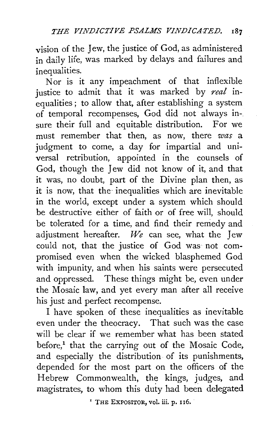vision of the Jew, the justice of God, as administered in daily life, was marked by delays and failures and inequalities.

Nor is it any impeachment of that inflexible justice to admit that it was marked by *real* inequalities ; to allow that, after establishing a system of temporal recompenses, God did not always insure their full and equitable distribution. For we must remember that then, as now, there *was* a judgment to come, a day for impartial and universal retribution, appointed in the counsels of God, though the Jew did not know of it, and that it was, no doubt, part of the Divine plan then, as it is now, that the inequalities which are inevitable in the world, except under a system which should be destructive either of faith or of free will, should be tolerated for a time, and find their remedy and adjustment hereafter. *We* can see, what the Jew could not, that the justice of God was· not compromised even when the wicked blasphemed God with impunity, and when his saints were persecuted and oppressed. These things might be, even under the Mosaic law, and yet every man after all receive his just and perfect recompense.

I have spoken of these inequalities as inevitable even under the theocracy. That such was the case will be clear if we remember what has been stated before,<sup>1</sup> that the carrying out of the Mosaic Code, and especially the distribution of its punishments, depended for the most part on the officers of the Hebrew Commonwealth, the kings, judges, and magistrates, to whom this duty had been delegated

' THE EXPOSITOR, vol. iii. p. I 16.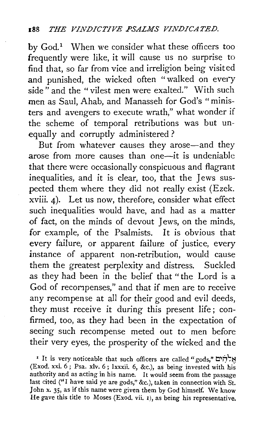by  $God<sup>1</sup>$  When we consider what these officers too frequently were like, it will cause us no surprise to find that, so far from vice and irreligion being visited and punished, the wicked often "walked on every side " and the "vilest men were exalted." With such men as Saul, Ahab, and Manasseh for God's "ministers and avengers to execute wrath," what wonder if the scheme of temporal retributions was but unequally and corruptly administered?

But from whatever causes they arose-and they arose from more causes than one-it is undeniable that there were occasionally conspicuous and flagrant inequalities, and it is clear, too, that the Jews suspected them where they did not really exist (Ezek. xviii. 4). Let us now, therefore, consider what effect such inequalities would have, and had as a matter of fact, on the minds of devout Jews, on the minds, for example, of the Psalmists. It is obvious that every failure, or apparent failure of justice, every instance of apparent non-retribution, would cause them the greatest perplexity and distress. Suckled as they had been in the belief that " the Lord is a God of reconpenses," and that if men are to receive any recompense at all for their good and evil deeds, they must receive it during this present life; confirmed, too, as they had been in the expectation of seeing such recompense meted out to men before their very eyes, the prosperity of the wicked and the

• It is very noticeable that such officers are called "gods," אֵלְהָים (Exod. xxi.  $6$ ; Psa. xlv.  $6$ ; lxxxii.  $6$ , &c.), as being invested with his authority and as acting in his name. It would seem from the passage last cited ("I have said ye are gods," &c.), taken in connection with St. John x. 35, as if this name were given them by God himself. We know He gave this title to Moses (Exod. vii. I), as being his representative.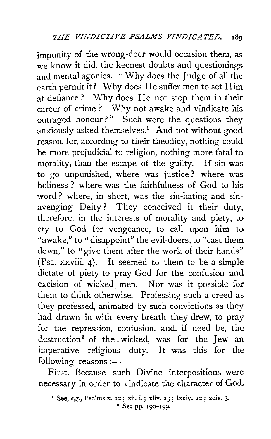impunity of the wrong-doer would occasion them, as we know it did, the keenest doubts and questionings and mental agonies. " Why does the Judge of all the earth permit it? Why does He suffer men to set Him at defiance? Why does He not stop them in their career of crime ? Why not awake and vindicate his outraged honour?" Such were the questions they anxiously asked themselves.<sup>1</sup> And not without good reason, for, according to their theodicy, nothing could be more prejudicial to religion, nothing more fatal to morality, than the escape of the guilty. If sin was to go unpunished, where was justice? where was holiness? where was the faithfulness of God to his word? where, in short, was the sin-hating and sinavenging Deity? They conceived it their duty, therefore, in the interests of morality and piety, to cry to God for vengeance, to call upon him to "awake," to " disappoint" the evil-doers, to "cast them down," to "give them after the work of their hands" (Psa. xxviii. 4). It seemed to them to be a simple dictate of piety to pray God for the confusion and excision of wicked men. Nor was it possible for them to think otherwise. Professing such a creed as they professed, animated by such convictions as they had drawn in with every breath they drew, to pray for the repression, confusion, and, if need be, the destruction<sup>2</sup> of the wicked, was for the Jew an imperative religious duty. It was this for the following reasons :-

First. Because such Divine interpositions were necessary in order to vindicate the character of God.

<sup>1</sup>See, *e.g.,* Psalms x. 12; xii. i. ; xliv. 23 ; lxxiv. 22 ; xciv. 3· <sup>2</sup> See pp. 190-199.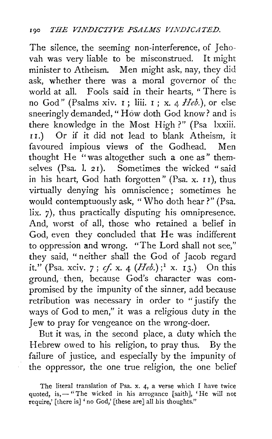The silence, the seeming non-interference, of Jehovah was very liable to be misconstrued. It might minister to Atheism. Men might ask, nay, they did ask, whether there was a moral governor of the world at all. Fools said in their hearts, "There is no God" (Psalms xiv.  $I$ ; liii.  $I$ ; x. 4  $Heb$ .), or else sneeringly demanded, "How doth God know? and is there knowledge in the Most High ?" (Psa lxxiii. <sup>I</sup>r.) Or if it did not lead to blank Atheism, it favoured impious views of the Godhead. Men thought He ''was altogether such a one as" themselves (Psa. l. 21). Sometimes the wicked "said in his heart, God hath forgotten" (Psa. x. I I), thus virtually denying his omniscience ; sometimes he would contemptuously ask, "Who doth hear?" (Psa. lix. 7), thus practically disputing his omnipresence. And, worst of all, those who retained a belief in God, even they concluded that He was indifferent to oppression and wrong. "The Lord shall not see," they said, "neither shall the God of Jacob regard it." (Psa. xciv. 7; *cf.* x. 4 (*Heb.*);<sup>1</sup> x. 13.) On this ground, then, because God's character was compromised by the impunity of the sinner, add because retribution was necessary in order to "justify the ways of God to men," it was a religious duty in the Jew to pray for vengeance on the wrong-doer.

But it was, in the second place, a duty which the Hebrew owed to his religion, to pray thus. By the failure of justice, and especially by the impunity of the oppressor, the one true religion, the one belief

The literal translation of Psa. x. 4, a verse which I have twice quoted, is,-"The wicked in his arrogance [saith], 'He will not require,' [there is] ' no God,' [these are] all his thoughts."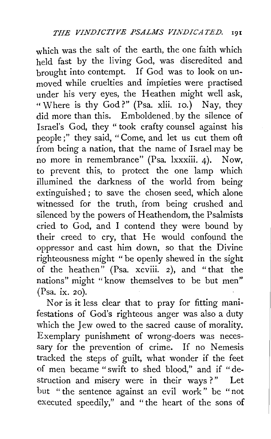which was the salt of the earth, the one faith which held fast by the living God, was discredited and brought into contempt. If God was to look on unmoved while cruelties and impieties were practised under his very eyes, the Heathen might well ask, "Where is thy God?" (Psa. xlii. 10.) Nay, they did more than this. Emboldened. by the silence of Israel's God, they "took crafty counsel against his people;" they said, "Come, and let us cut them oft from being a nation, that the name of Israel may be no more in remembrance" (Psa. lxxxiii. 4). Now, to prevent this, to protect the one lamp which illumined the darkness of the world from being extinguished; to save the chosen seed, which alone witnessed for the truth, from being crushed and silenced by the powers of Heathendom, the Psalmists cried to God, and I contend they were bound by their creed to cry, that He would confound the oppressor and cast him down, so that the Divine righteousness might " be openly shewed in the sight of the heathen" (Psa. xcviii. 2), and "that the nations" might "know themselves to be but men" (Psa. ix. 20).

Nor is it less clear that to pray for fitting manifestations of God's righteous anger was also a duty which the Jew owed to the sacred cause of morality. Exemplary punishment of wrong-doers was necessary for the prevention of crime. If no Nemesis tracked the steps of guilt, what wonder if the feet of men became " swift to shed blood," and if "destruction and misery were in their ways?" Let but " the sentence against an evil work" be "not executed speedily," and " the heart of the sons of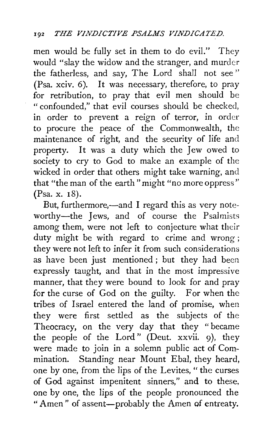men would be fully set in them to do evil." They would "slay the widow and the stranger, and murder the fatherless, and say, The Lord shall not see " (Psa. xciv. 6). It was necessary, therefore, to pray for retribution, to pray that evil men should be " confounded," that evil courses should be checked, in order to prevent a reign of terror, in order to procure the peace of the Commonwealth, the maintenance of right, and the security of life and property. It was a duty which the Jew owed to society to cry to God to make an example of the wicked in order that others might take warning, and that "the man of the earth" might "no more oppress" (Psa. x. 18).

But, furthermore,-and I regard this as very noteworthy-the Jews, and of course the Psalmists among them, were not left to conjecture what their duty might be with regard to crime and wrong ; they were not left to infer it from such considerations as have been just mentioned ; but they had been expressly taught, and that in the most impressive manner, that they were bound to look for and pray for the curse of God on the guilty. For when the tribes of Israel entered the land of promise, when they were first settled as the subjects of the Theocracy, on the very day that they "became the people of the Lord" (Deut. xxvii. 9), they were made to join in a solemn public act of Commination. Standing near Mount Ebal, they heard, one by one, from the lips of the Levites, "the curses of God against impenitent sinners," and to these, one by one, the lips of the people pronounced the "Amen" of assent-probably the Amen of entreaty.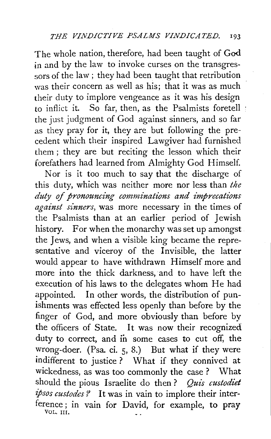The whole nation, therefore, had been taught of God in and by the law to invoke curses on the transgressors of the law; they had been taught that retribution was their concern as well as his; that it was as much their duty to implore vengeance as it was his design to inflict it. So far, then, as the Psalmists foretell the just judgment of God against sinners, and so far as they pray for it, they are but following the precedent which their inspired Lawgiver had furnished them; they are but reciting the lesson which their forefathers had learned from Almighty God Himself.

Nor is it too much to say that the discharge of this duty, which was neither more nor less than *the duty of pronouncing comminations and imprecalions against sinners,* was more necessary in the times of the Psalmists than at an earlier period of Jewish history. For when the monarchy was set up amongst. the Jews, and when a visible king became the representative and viceroy of the Invisible, the latter would appear to have withdrawn Himself more and more into the thick darkness, and to have left the execution of his laws to the delegates whom He had appointed. In other words, the distribution of punishments was effected less openly than before by the finger of God, and more obviously than before by the officers of State. It was now their recognized duty to correct, and in some cases to cut off, the wrong-doer. (Psa. ci. 5, 8.) But what if they were indifferent to justice ? What if they connived at wickedness, as was too commonly the case ? What should the pious Israelite do then ? *Quis custodiet ipsos custodes?* It was in vain to implore their interference; in vain for David, for example, to pray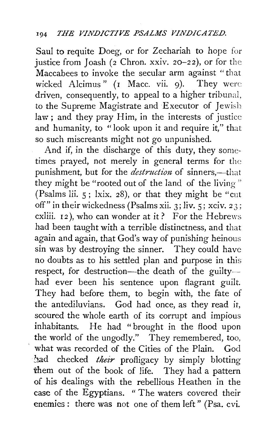Saul to requite Doeg, or for Zechariah to hope for justice from Joash ( $2$  Chron. xxiv. 20-22), or for the Maccabees to invoke the secular arm against " that wicked Alcimus" (I Macc. vii. 9). They were driven, consequently, to appeal to a higher tribunal, to the Supreme Magistrate and Executor of Jewish law; and they pray Him, in the interests of justice and humanity, to "look upon it and require it," that so such miscreants might not go unpunished.

And if, in the discharge of this duty, they sometimes prayed, not merely in general terms for the punishment, but for the *destruction* of sinners,—that they might be "rooted out of the land of the living" (Psalms lii. 5; lxix. 28), or that they might be "cut off" in their wickedness (Psalms xii. 3; liv.  $\frac{1}{5}$ ; xciv. 23; cxliii.  $12$ ), who can wonder at it? For the Hebrews had been taught with a terrible distinctness, and that again and again, that God's way of punishing heinous sin was by destroying the sinner. They could have no doubts as to his settled plan and purpose in this respect, for destruction-the death of the guiltyhad ever been his sentence upon flagrant guilt. They had before them, to begin with, the fate of the antediluvians. God had once, as they read it, scoured the whole earth of its corrupt and impious inhabitants. He had "brought in the flood upon the world of the ungodly." They remembered, too, what was recorded of the Cities of the Plain. God had checked their profligacy by simply blotting them out of the book of life. They had a pattern of his dealings with the rebellious Heathen in the case of the Egyptians. " The waters covered their enemies : there was not one of them left" (Psa. cvi.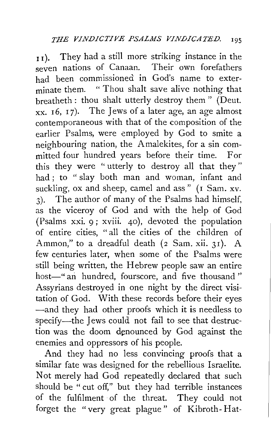$_{\text{II}}$ ). They had a still more striking instance in the seven nations of Canaan. Their own forefathers had been commissioned in God's name to exterminate them. "Thou shalt save alive nothing that breatheth : thou shalt utterly destroy them " (Deut.  $xx. 16, 17$ . The Jews of a later age, an age almost contemporaneous with that of the composition of the earlier Psalms, were employed by God to smite a neighbouring nation, the Amalekites, for a sin committed four hundred years before their time. For this they were " utterly to destroy all that they" had ; to " slay both man and woman, infant and suckling, ox and sheep, camel and ass" (1 Sam. xv. 3). The author of many of the Psalms had himself, as the viceroy of God and with the help of God (Psalms xxi. 9; xviii. 40), devoted the population of entire cities, "all the cities of the children of Ammon," to a dreadful death (2 Sam. xii. 3I). A few centuries later, when some of the Psalms were still being written, the Hebrew people saw an entire host-" an hundred, fourscore, and five thousand " Assyrians destroyed in one night by the direct visitation of God. With these records before their eyes -and they had other proofs which it is needless to specify-the Jews could not fail to see that destruction was the doom denounced by God against the enemies and oppressors of his people.

And they had no less convincing proofs that a similar fate was designed for the rebellious Israelite. Not merely had God repeatedly declared that such should be " cut off," but they had terrible instances of the fulfilment of the threat. They could not forget the "very great plague" of Kibroth- Hat-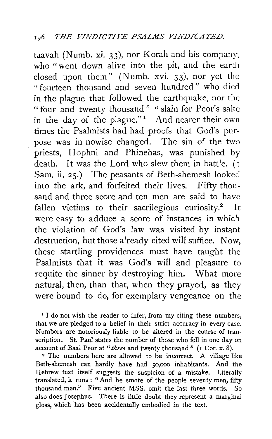## I\16 *THE VINDICTIVE PSALMS VINDICATED.*

taavah (Numb. xi. 33), nor Korah and his company, who "went down alive into the pit, and the earth closed upon them" (Numb. xvi. 33), nor yet the "fourteen thousand and seven hundred" who died in the plague that followed the earthquake, nor the " four and twenty thousand" "slain for Peor's sake in the day of the plague."<sup>1</sup> And nearer their own times the Psalmists had had proofs that God's purpose was in nowise changed. The sin of the two priests, Hophni and Phinehas, was punished by death. It was the Lord who slew them in battle. ( r Sam. ii. 25.) The peasants of Beth-shemesh looked into the ark, and forfeited their lives. Fifty thousand and three score and ten men are said to have fallen victims to their sacrilegious curiosity.<sup>2</sup> It were easy to adduce a score of instances in which the violation of God's law was visited by instant destruction, but those already cited will suffice. Now, these startling providences must have taught the Psalmists that it was God's will and pleasure to requite the sinner by destroying him. What more natural, then, than that, when they prayed, as they were bound to do, for exemplary vengeance on the

1 I do not wish the reader to infer, from my citing these numbers, that we are pledged to a belief in their strict accuracy in every case. Numbers are notoriously liable to be altered in the course of transcription. St. Paul states the number of those who fell in one day on account of Baal Peor at "*three* and twenty thousand " ( $\iota$  Cor. x. 8).

<sup>2</sup> The numbers here are allowed to be incorrect. A village like Beth-shemesh can hardly have had *so,ooo* inhabitants. And the Hebrew text itself suggests the suspicion of a mistake. Literally translated, it runs : "And he smote of the people seventy men, fifty thousand men." Five ancient MSS. omit the last three words. So also does Josephus. There is little doubt they represent a marginal gloss, which has been accidentally embodied in the text.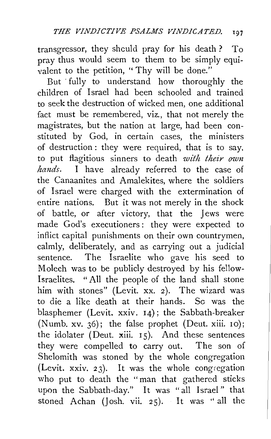transgressor, they shculd pray for his death ? To pray thus would seem to them to be simply equivalent to the petition, "Thy will be done."

But ·fully to understand how thoroughly the children of Israel had been schooled and trained to seek the destruction of wicked men, one additional fact must be remembered, viz., that not merely the magistrates, but the nation at large, had been constituted by God, in certain cases, the ministers of destruction : they were required, that is to say. to put flagitious sinners to death *with their own hands*. I have already referred to the case of the Canaanites and Amalekites, where the soldiers of Israel were charged with the extermination of entire nations. But it was not merely in the shock of battle, or after victory, that the Jews were made God's executioners: they were expected to inflict capital punishments on their own countrymen, calmly, deliberately, and as carrying out a judicial sentence. The Israelite who gave his seed to Molech was to be publicly destroyed by his fellow-Israelites. "All the people of the land shall stone him with stones" (Levit. xx. 2). The wizard was to die a like death at their hands. Se was the blasphemer (Levit. xxiv. 14); the Sabbath-breaker (Numb. xv. 36); the false prophet (Deut. xiii. 10); the idolater (Deut. xiii.  $15$ ). And these sentences they were compelled to carry out. The son of Shelomith was stoned by the whole congregation (Levit. xxiv. 23). It was the whole congregation who put to death the "man that gathered sticks upon the Sabbath-day." It was "all Israel" that stoned Achan (Josh. vii. 25). It was ''all the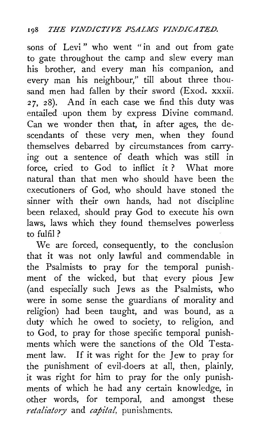sons of Levi" who went "in and out from gate to gate throughout the camp and slew every man his brother, and every man his companion, and every man his neighbour," till about three thousand men had fallen by their sword (Exod. xxxii. *27,* 28). And in each case we find this duty was entailed upon them by express Divine command. Can we wonder then that, in after ages, the descendants of these very men, when they found themselves debarred by circumstances from carrying out a sentence of death which was still in force, cried to God to inflict it ? What more natural than that men who should have been the executioners of God, who should have stoned the sinner with their own hands, had not discipline been relaxed, should pray God to execute his own laws, laws which they found themselves powerless to fulfil?

We are forced, consequently, to the conclusion that it was not only lawful and commendable in the Psalmists to pray for the temporal punishment of the wicked, but that every pious Jew (and especially such Jews as the Psalmists, who were in some sense the guardians of morality and religion) had been taught, and was bound, as a duty which he owed to society, to religion, and to God, to pray for those specific temporal punishments which were the sanctions of the Old Testament law. If it was right for the Jew to pray for the punishment of evil-doers at all, then, plainly, it was right for him to pray for the only punishments of which he had any certain knowledge, in other words, for temporal, and amongst these *retaliatory* and *capital,* punishments.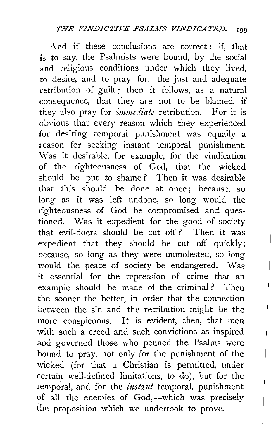And if these conclusions are correct: if, that is to say, the Psalmists were bound, by the social and religious conditions under which they lived, to desire, and to pray for, the just and adequate retribution of guilt; then it follows, as a natural consequence, that they are not to be blamed, if they also pray for *immediate* retribution. For it is obvious that every reason which they experienced for desiring temporal punishment was equally a reason for seeking instant temporal punishment. Was it desirable, for example, for the vindication of the righteousness of God, that the wicked should be put to shame ? Then it was desirable that this should be done at once ; because, so long as it was left undone, so long would the righteousness of God be compromised and questioned. Was it expedient for the good of society that evil-doers should be cut off ? Then it was expedient that they should be cut off quickly; because, so long as they were unmolested, so long would the peace of society be endangered. Was it essential for the repression of crime that an example should be made of the criminal ? Then the sooner the better, in order that the connection between the sin and the retribution might be the more conspicuous. It is evident, then, that men with such a creed and such convictions as inspired and governed those who penned the Psalms were bound to pray, not only for the punishment of the wicked (for that a Christian is permitted, under certain well-defined limitations, to do), but for the temporal, and for the *instant* temporal, punishment of all the enemies of God,-which was precisely the proposition which we undertook to prove.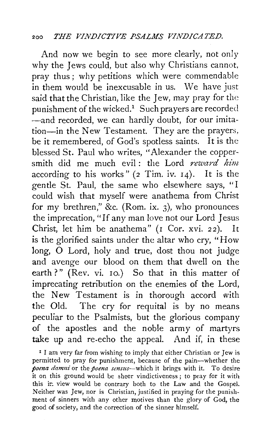## :~oo *THE VINDICTIVE PSALMS VINDICATED.*

And now we begin to see more clearly, not only why the Jews could, but also why Christians cannot, pray thus ; why petitions which were commendable in them would be inexcusable in us. We have just said that the Christian, like the Jew, may pray for the punishment of the wicked.<sup>1</sup> Such prayers are recorded -and recorded, we can hardly doubt, for our imitation-in the New Testament. They are the prayers, be it remembered, of God's spotless saints. It is the blessed St. Paul who writes, "Alexander the coppersmith did me much evil: the Lord reward him according to his works"  $(2$  Tim. iv.  $14$ ). It is the gentle St. Paul, the same who elsewhere says, "I could wish that myself were anathema from Christ for my brethren," &c. (Rom. ix. 3), who pronounces the imprecation, "If any man love not our Lord Jesus Christ, let him be anathema" (r Cor. xvi. 22). It is the glorified saints under the altar who cry, "How long, 0 Lord, holy and true, dost thou not judge and avenge our blood on them that dwell on the earth?" (Rev. vi. ro.) So that in this matter of imprecating retribution on the enemies of the Lord, the New Testament is in thorough accord with the Old. The cry for requital is by no means peculiar to the Psalmists, but the glorious company of the apostles and the noble army of martyrs take up and re-echo the appeal. And if, in these

I I am very far from wishing to imply that either Christian or Jew is permitted to pray for punishment, because of the pain-whether the *poena dam11i* or the *poena sensus-which* it brings with it. To desire it on this ground would be sheer vindictiveness ; to pray for it with this in view would be contrary both to the Law and the Gospel. Neither was Jew, nor is Christian, justified in praying for the punishment of sinners with any other motives than the glory of God, the good of society, and the correction of the sinner himself.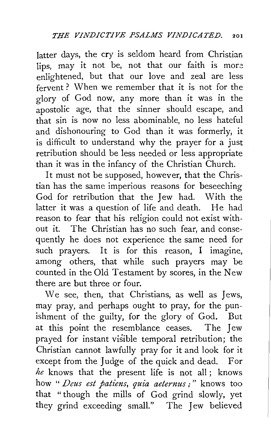latter days, the cry is seldom heard from Christian lips, may it not be, not that our faith is more enlightened, but that our love and zeal are less fervent ? When we remember that it is not for the glory of God now, any more than it was in the apostolic age, that the sinner should escape, and that sin is now no less abominable, no less hateful and dishonouring to God than it was formerly, it is difficult to understand why the prayer for a just retribution should be less needed or less appropriate than it was in the infancy of the Christian Church.

It must not be supposed, however, that the Christian has the same imperious reasons for beseeching God for retribution that the Jew had. With the latter it was a question of life and death. He had reason to fear that his religion could not exist without it. The Christian has no such fear, and consequently he does not experience the same need for such prayers. It is for this reason, I imagine, among others, that while such prayers may be counted in the Old Testament by scores, in the New there are but three or four.

We see, then, that Christians, as well as Jews, may pray, and perhaps ought to pray, for the punishment of the guilty, for the glory of God. But at this point the resemblance ceases. The Jew prayed for instant visible temporal retribution; the Christian cannot lawfully pray for it and look for it except from the Judge of the quick and dead. For *he* knows that the present life is not all ; knows how " *Deus est patiens, quia aeternus*;" knows too that "though the mills of God grind slowly, yet they grind exceeding small." The Jew believed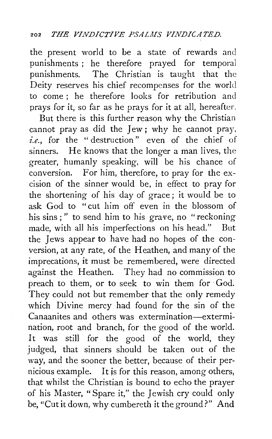the present world to be a state of rewards and punishments ; he therefore prayed for temporal punishments. The Christian is taught that the Deity reserves his chief recompenses for the world to come ; he therefore looks for retribution and prays for it, so far as he prays for it at all, hereafter.

But there is this further reason why the Christian cannot pray as did the Jew; why he cannot pray, *i.e.,* for the " destruction" even of the chief of sinners. He knows that the longer a man lives, the greater, humanly speaking, will be his chance of conversion. For him, therefore, to pray for the excision of the sinner would be, in effect to pray for the shortening of his day of grace; it would be to ask God to "cut him off even in the blossom of his sins ; " to send him to his grave, no " reckoning made, with all his imperfections on his head." But the Jews appear to have had no hopes of the conversion, at any rate, of the Heathen, and many of the imprecations, it must be remembered, were directed against the Heathen. They had no commission ·to preach to them, or to seek to win them for God. They could not but remember that the only remedy which Divine mercy had found for the sin of the Canaanites and others was extermination-extermination, root and branch, for the good of the world. It was still for the good of the world, they judged, that sinners should be taken out of the way, and the sooner the better, because of their pernicious example. It *is* for this reason, among others, that whilst the Christian is bound to echo the prayer of his Master, "Spare it," the Jewish cry could only be, "Cut it down, why cumbereth it the ground?" And